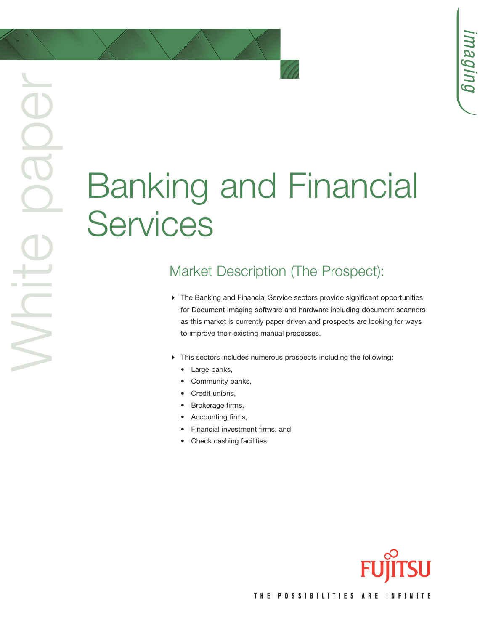# Banking and Financial **Services**

### Market Description (The Prospect):

- The Banking and Financial Service sectors provide significant opportunities for Document Imaging software and hardware including document scanners as this market is currently paper driven and prospects are looking for ways to improve their existing manual processes.
- This sectors includes numerous prospects including the following:
	- Large banks,

White paper

BOBO

- Community banks,
- Credit unions,
- Brokerage firms,
- Accounting firms,
- Financial investment firms, and
- Check cashing facilities.



THE POSSIBILITIES ARE INFINITE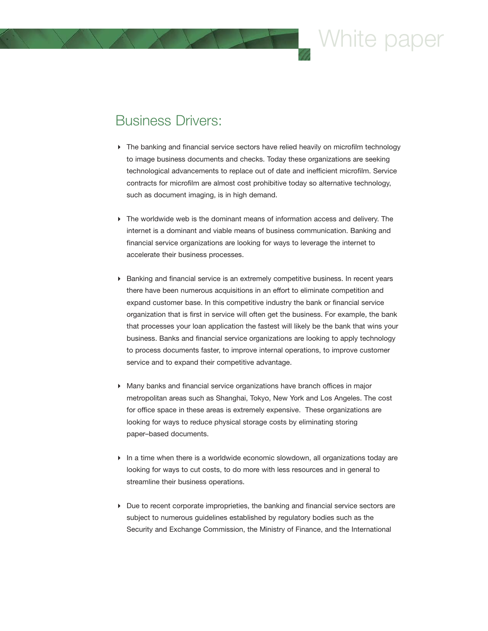# hite pap

#### Business Drivers:

- The banking and financial service sectors have relied heavily on microfilm technology to image business documents and checks. Today these organizations are seeking technological advancements to replace out of date and inefficient microfilm. Service contracts for microfilm are almost cost prohibitive today so alternative technology, such as document imaging, is in high demand.
- $\blacktriangleright$  The worldwide web is the dominant means of information access and delivery. The internet is a dominant and viable means of business communication. Banking and financial service organizations are looking for ways to leverage the internet to accelerate their business processes.
- Banking and financial service is an extremely competitive business. In recent years there have been numerous acquisitions in an effort to eliminate competition and expand customer base. In this competitive industry the bank or financial service organization that is first in service will often get the business. For example, the bank that processes your loan application the fastest will likely be the bank that wins your business. Banks and financial service organizations are looking to apply technology to process documents faster, to improve internal operations, to improve customer service and to expand their competitive advantage.
- Many banks and financial service organizations have branch offices in major metropolitan areas such as Shanghai, Tokyo, New York and Los Angeles. The cost for office space in these areas is extremely expensive. These organizations are looking for ways to reduce physical storage costs by eliminating storing paper–based documents.
- $\blacktriangleright$  In a time when there is a worldwide economic slowdown, all organizations today are looking for ways to cut costs, to do more with less resources and in general to streamline their business operations.
- $\triangleright$  Due to recent corporate improprieties, the banking and financial service sectors are subject to numerous guidelines established by regulatory bodies such as the Security and Exchange Commission, the Ministry of Finance, and the International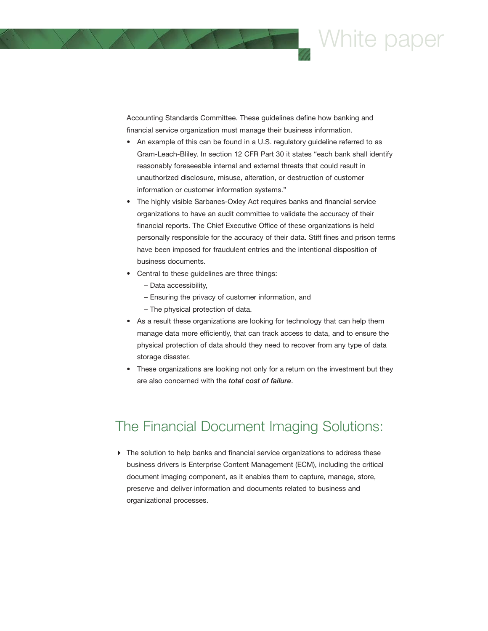

Accounting Standards Committee. These guidelines define how banking and financial service organization must manage their business information.

- An example of this can be found in a U.S. regulatory guideline referred to as Gram-Leach-Bliley. In section 12 CFR Part 30 it states "each bank shall identify reasonably foreseeable internal and external threats that could result in unauthorized disclosure, misuse, alteration, or destruction of customer information or customer information systems."
- The highly visible Sarbanes-Oxley Act requires banks and financial service organizations to have an audit committee to validate the accuracy of their financial reports. The Chief Executive Office of these organizations is held personally responsible for the accuracy of their data. Stiff fines and prison terms have been imposed for fraudulent entries and the intentional disposition of business documents.
- Central to these guidelines are three things:
	- Data accessibility,
	- Ensuring the privacy of customer information, and
	- The physical protection of data.
- As a result these organizations are looking for technology that can help them manage data more efficiently, that can track access to data, and to ensure the physical protection of data should they need to recover from any type of data storage disaster.
- These organizations are looking not only for a return on the investment but they are also concerned with the *total cost of failure*.

#### The Financial Document Imaging Solutions:

 $\triangleright$  The solution to help banks and financial service organizations to address these business drivers is Enterprise Content Management (ECM), including the critical document imaging component, as it enables them to capture, manage, store, preserve and deliver information and documents related to business and organizational processes.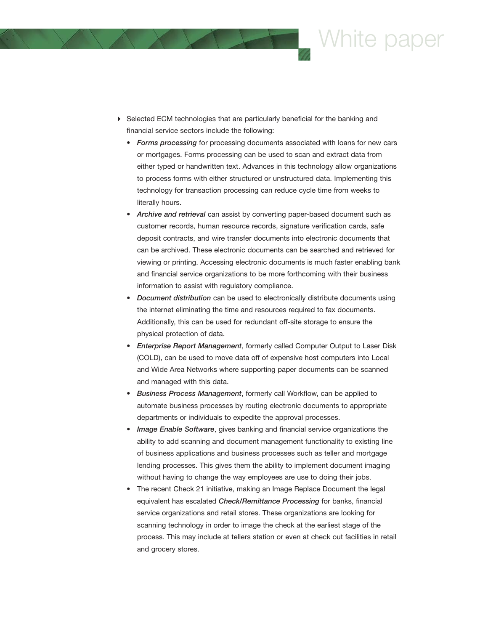

- Selected ECM technologies that are particularly beneficial for the banking and financial service sectors include the following:
	- *Forms processing* for processing documents associated with loans for new cars or mortgages. Forms processing can be used to scan and extract data from either typed or handwritten text. Advances in this technology allow organizations to process forms with either structured or unstructured data. Implementing this technology for transaction processing can reduce cycle time from weeks to literally hours.
	- *Archive and retrieval* can assist by converting paper-based document such as customer records, human resource records, signature verification cards, safe deposit contracts, and wire transfer documents into electronic documents that can be archived. These electronic documents can be searched and retrieved for viewing or printing. Accessing electronic documents is much faster enabling bank and financial service organizations to be more forthcoming with their business information to assist with regulatory compliance.
	- *Document distribution* can be used to electronically distribute documents using the internet eliminating the time and resources required to fax documents. Additionally, this can be used for redundant off-site storage to ensure the physical protection of data.
	- *Enterprise Report Management*, formerly called Computer Output to Laser Disk (COLD), can be used to move data off of expensive host computers into Local and Wide Area Networks where supporting paper documents can be scanned and managed with this data.
	- *Business Process Management*, formerly call Workflow, can be applied to automate business processes by routing electronic documents to appropriate departments or individuals to expedite the approval processes.
	- *Image Enable Software*, gives banking and financial service organizations the ability to add scanning and document management functionality to existing line of business applications and business processes such as teller and mortgage lending processes. This gives them the ability to implement document imaging without having to change the way employees are use to doing their jobs.
	- The recent Check 21 initiative, making an Image Replace Document the legal equivalent has escalated *Check/Remittance Processing* for banks, financial service organizations and retail stores. These organizations are looking for scanning technology in order to image the check at the earliest stage of the process. This may include at tellers station or even at check out facilities in retail and grocery stores.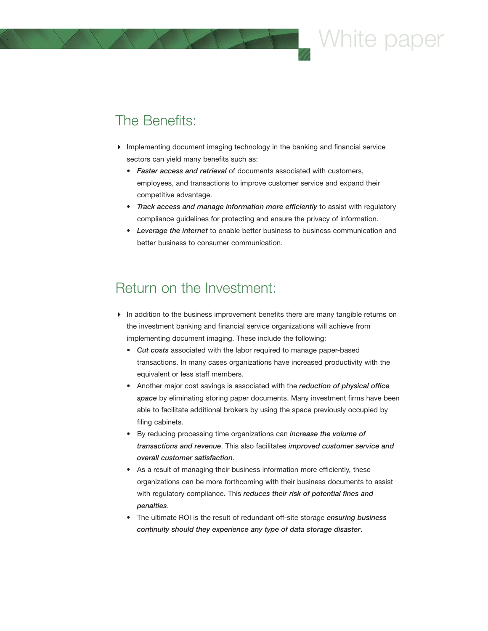# White paper

### The Benefits:

- Implementing document imaging technology in the banking and financial service sectors can yield many benefits such as:
	- *Faster access and retrieval* of documents associated with customers, employees, and transactions to improve customer service and expand their competitive advantage.
	- *Track access and manage information more efficiently* to assist with regulatory compliance guidelines for protecting and ensure the privacy of information.
	- *Leverage the internet* to enable better business to business communication and better business to consumer communication.

#### Return on the Investment:

- In addition to the business improvement benefits there are many tangible returns on the investment banking and financial service organizations will achieve from implementing document imaging. These include the following:
	- *Cut costs* associated with the labor required to manage paper-based transactions. In many cases organizations have increased productivity with the equivalent or less staff members.
	- Another major cost savings is associated with the *reduction of physical office space* by eliminating storing paper documents. Many investment firms have been able to facilitate additional brokers by using the space previously occupied by filing cabinets.
	- By reducing processing time organizations can *increase the volume of transactions and revenue*. This also facilitates *improved customer service and overall customer satisfaction*.
	- As a result of managing their business information more efficiently, these organizations can be more forthcoming with their business documents to assist with regulatory compliance. This *reduces their risk of potential fines and penalties*.
	- The ultimate ROI is the result of redundant off-site storage *ensuring business continuity should they experience any type of data storage disaster*.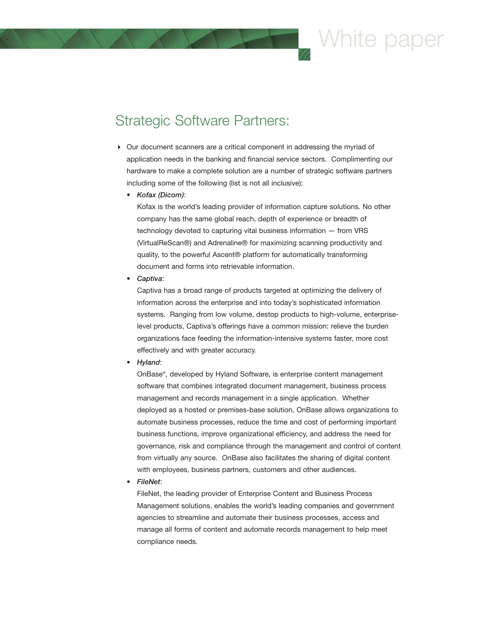## Vhite par

### Strategic Software Partners:

- $\triangleright$  Our document scanners are a critical component in addressing the myriad of application needs in the banking and financial service sectors. Complimenting our hardware to make a complete solution are a number of strategic software partners including some of the following (list is not all inclusive):
	- *Kofax (Dicom)*:

Kofax is the world's leading provider of information capture solutions. No other company has the same global reach, depth of experience or breadth of technology devoted to capturing vital business information — from VRS (VirtualReScan®) and Adrenaline® for maximizing scanning productivity and quality, to the powerful Ascent® platform for automatically transforming document and forms into retrievable information.

• *Captiva*:

Captiva has a broad range of products targeted at optimizing the delivery of information across the enterprise and into today's sophisticated information systems. Ranging from low volume, destop products to high-volume, enterpriselevel products, Captiva's offerings have a common mission: relieve the burden organizations face feeding the information-intensive systems faster, more cost effectively and with greater accuracy.

• *Hyland*:

OnBase®, developed by Hyland Software, is enterprise content management software that combines integrated document management, business process management and records management in a single application. Whether deployed as a hosted or premises-base solution, OnBase allows organizations to automate business processes, reduce the time and cost of performing important business functions, improve organizational efficiency, and address the need for governance, risk and compliance through the management and control of content from virtually any source. OnBase also facilitates the sharing of digital content with employees, business partners, customers and other audiences.

• *FileNet*:

FileNet, the leading provider of Enterprise Content and Business Process Management solutions, enables the world's leading companies and government agencies to streamline and automate their business processes, access and manage all forms of content and automate records management to help meet compliance needs.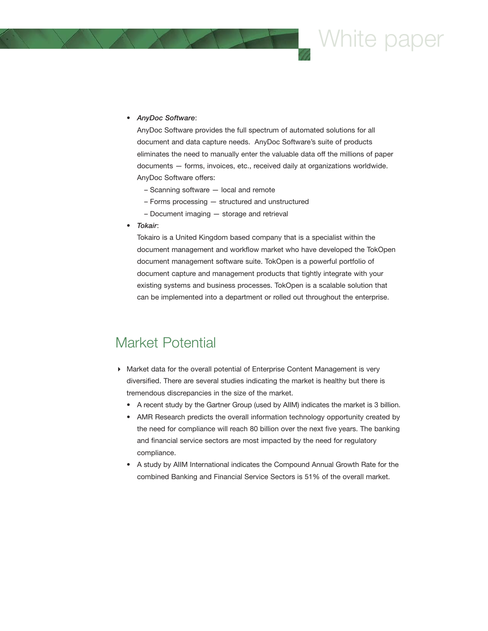## White paper

• *AnyDoc Software*:

AnyDoc Software provides the full spectrum of automated solutions for all document and data capture needs. AnyDoc Software's suite of products eliminates the need to manually enter the valuable data off the millions of paper documents — forms, invoices, etc., received daily at organizations worldwide. AnyDoc Software offers:

- Scanning software local and remote
- Forms processing structured and unstructured
- Document imaging storage and retrieval
- *Tokair*:

Tokairo is a United Kingdom based company that is a specialist within the document management and workflow market who have developed the TokOpen document management software suite. TokOpen is a powerful portfolio of document capture and management products that tightly integrate with your existing systems and business processes. TokOpen is a scalable solution that can be implemented into a department or rolled out throughout the enterprise.

#### Market Potential

- Market data for the overall potential of Enterprise Content Management is very diversified. There are several studies indicating the market is healthy but there is tremendous discrepancies in the size of the market.
	- A recent study by the Gartner Group (used by AIIM) indicates the market is 3 billion.
	- AMR Research predicts the overall information technology opportunity created by the need for compliance will reach 80 billion over the next five years. The banking and financial service sectors are most impacted by the need for regulatory compliance.
	- A study by AIIM International indicates the Compound Annual Growth Rate for the combined Banking and Financial Service Sectors is 51% of the overall market.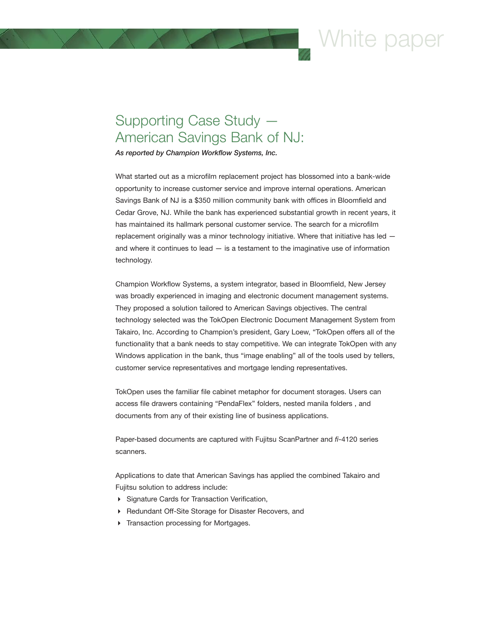### Vhite par

### Supporting Case Study — American Savings Bank of NJ:

*As reported by Champion Workflow Systems, Inc.*

What started out as a microfilm replacement project has blossomed into a bank-wide opportunity to increase customer service and improve internal operations. American Savings Bank of NJ is a \$350 million community bank with offices in Bloomfield and Cedar Grove, NJ. While the bank has experienced substantial growth in recent years, it has maintained its hallmark personal customer service. The search for a microfilm replacement originally was a minor technology initiative. Where that initiative has led  $$ and where it continues to lead  $-$  is a testament to the imaginative use of information technology.

Champion Workflow Systems, a system integrator, based in Bloomfield, New Jersey was broadly experienced in imaging and electronic document management systems. They proposed a solution tailored to American Savings objectives. The central technology selected was the TokOpen Electronic Document Management System from Takairo, Inc. According to Champion's president, Gary Loew, "TokOpen offers all of the functionality that a bank needs to stay competitive. We can integrate TokOpen with any Windows application in the bank, thus "image enabling" all of the tools used by tellers, customer service representatives and mortgage lending representatives.

TokOpen uses the familiar file cabinet metaphor for document storages. Users can access file drawers containing "PendaFlex" folders, nested manila folders , and documents from any of their existing line of business applications.

Paper-based documents are captured with Fujitsu ScanPartner and *fi*-4120 series scanners.

Applications to date that American Savings has applied the combined Takairo and Fujitsu solution to address include:

- Signature Cards for Transaction Verification,
- Redundant Off-Site Storage for Disaster Recovers, and
- Transaction processing for Mortgages.